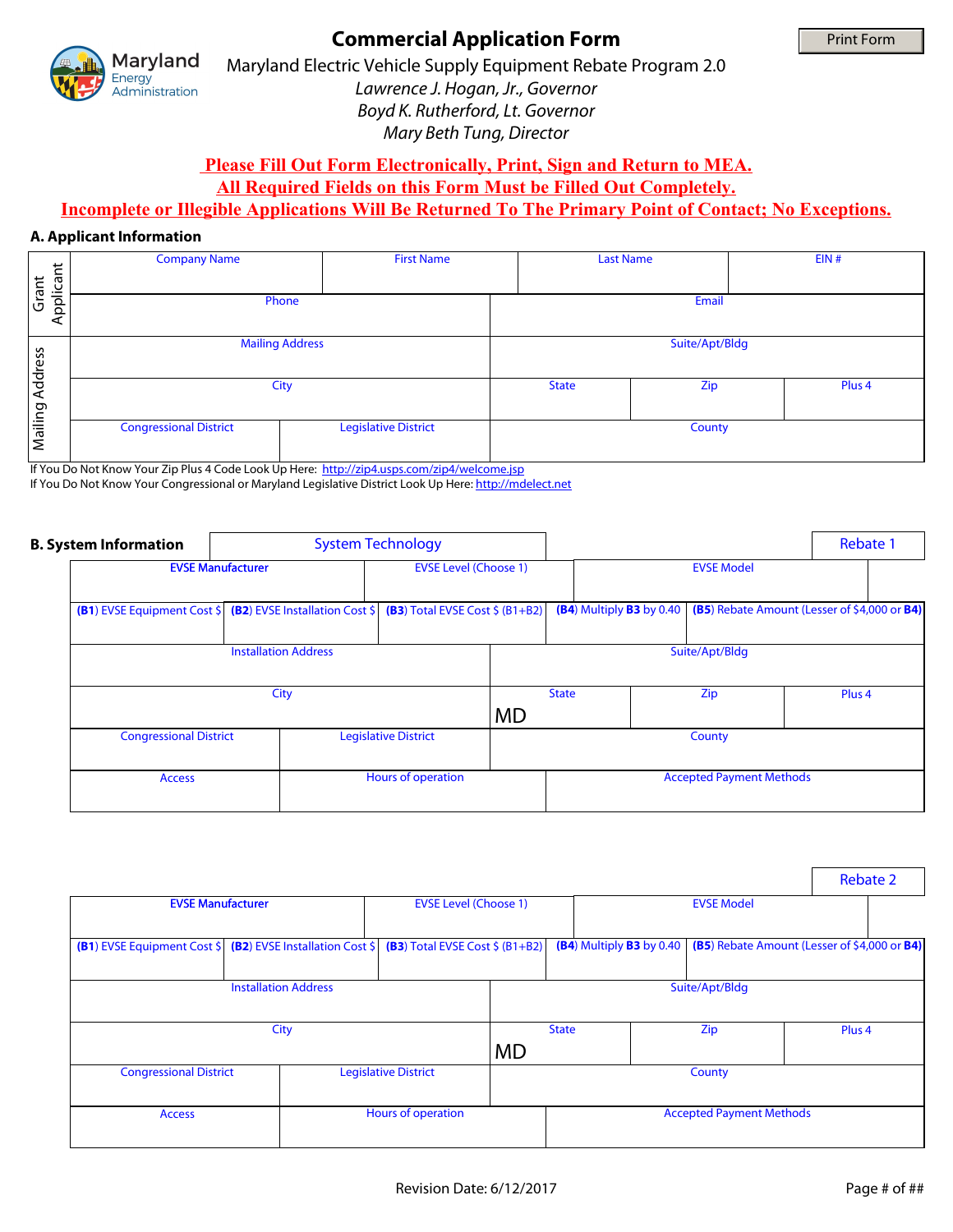

# **Commercial Application Form**

Maryland Electric Vehicle Supply Equipment Rebate Program 2.0 *Lawrence J. Hogan, Jr., Governor Boyd K. Rutherford, Lt. Governor Mary Beth Tung, Director*

## **Please Fill Out Form Electronically, Print, Sign and Return to MEA.**

**All Required Fields on this Form Must be Filled Out Completely.** 

## **Incomplete or Illegible Applications Will Be Returned To The Primary Point of Contact; No Exceptions.**

### **A. Applicant Information**

|                    | <b>Company Name</b>                                                                                                                                                                                    | <b>First Name</b>           | <b>Last Name</b> |                   | EIN# |  |  |
|--------------------|--------------------------------------------------------------------------------------------------------------------------------------------------------------------------------------------------------|-----------------------------|------------------|-------------------|------|--|--|
| Applicant<br>Grant | Phone                                                                                                                                                                                                  | Email                       |                  |                   |      |  |  |
| Address            | <b>Mailing Address</b>                                                                                                                                                                                 | Suite/Apt/Bldg              |                  |                   |      |  |  |
|                    | City                                                                                                                                                                                                   | <b>State</b>                | Zip              | Plus <sub>4</sub> |      |  |  |
| Mailing            | <b>Congressional District</b>                                                                                                                                                                          | <b>Legislative District</b> | County<br>اپ     |                   |      |  |  |
|                    | If You Do Not Know Your Zip Plus 4 Code Look Up Here: http://zip4.usps.com/zip4/welcome.jsp<br>If You Do Not Know Your Congressional or Maryland Legislative District Look Up Here: http://mdelect.net |                             |                  |                   |      |  |  |

|  | <b>B. System Information</b>                   | <b>System Technology</b>                                          |                              |                                  |                   |                                           |                   | Rebate 1                                     |  |
|--|------------------------------------------------|-------------------------------------------------------------------|------------------------------|----------------------------------|-------------------|-------------------------------------------|-------------------|----------------------------------------------|--|
|  | <b>EVSE Manufacturer</b>                       |                                                                   | <b>EVSE Level (Choose 1)</b> |                                  | <b>EVSE Model</b> |                                           |                   |                                              |  |
|  |                                                | <b>(B1)</b> EVSE Equipment Cost \$ (B2) EVSE Installation Cost \$ |                              | (B3) Total EVSE Cost $$$ (B1+B2) |                   | (B4) Multiply B3 by 0.40                  |                   | (B5) Rebate Amount (Lesser of \$4,000 or B4) |  |
|  | <b>Installation Address</b>                    |                                                                   |                              | Suite/Apt/Bldg                   |                   |                                           |                   |                                              |  |
|  |                                                |                                                                   | <b>MD</b>                    | <b>State</b>                     |                   | Zip                                       | Plus <sub>4</sub> |                                              |  |
|  | <b>Congressional District</b><br><b>Access</b> |                                                                   | <b>Legislative District</b>  |                                  |                   | County<br><b>Accepted Payment Methods</b> |                   |                                              |  |
|  |                                                |                                                                   | Hours of operation           |                                  |                   |                                           |                   |                                              |  |

|                                                                                                |                              |                             |                                   |                          |                          |                                 | <b>Rebate 2</b>                              |                      |
|------------------------------------------------------------------------------------------------|------------------------------|-----------------------------|-----------------------------------|--------------------------|--------------------------|---------------------------------|----------------------------------------------|----------------------|
| <b>EVSE Manufacturer</b>                                                                       | <b>EVSE Level (Choose 1)</b> |                             |                                   | <b>EVSE Model</b>        |                          |                                 |                                              |                      |
|                                                                                                |                              |                             |                                   | $\overline{\phantom{0}}$ |                          |                                 |                                              |                      |
| <b>(B1)</b> EVSE Equipment Cost $\frac{1}{2}$ <b>(B2)</b> EVSE Installation Cost $\frac{1}{2}$ |                              |                             | $(B3)$ Total EVSE Cost \$ (B1+B2) |                          | (B4) Multiply B3 by 0.40 |                                 | (B5) Rebate Amount (Lesser of \$4,000 or B4) |                      |
|                                                                                                |                              |                             |                                   |                          |                          |                                 |                                              |                      |
| <b>Installation Address</b>                                                                    |                              |                             | Suite/Apt/Bldg                    |                          |                          |                                 |                                              |                      |
|                                                                                                |                              |                             |                                   |                          |                          |                                 |                                              |                      |
|                                                                                                |                              | <b>State</b>                |                                   |                          | Zip                      | Plus <sub>4</sub>               |                                              |                      |
|                                                                                                |                              |                             | <b>MD</b>                         |                          |                          |                                 |                                              |                      |
| <b>Congressional District</b>                                                                  |                              | <b>Legislative District</b> |                                   |                          |                          | County                          |                                              |                      |
|                                                                                                |                              |                             |                                   |                          |                          |                                 |                                              | $\blacktriangledown$ |
| <b>Access</b>                                                                                  |                              | Hours of operation          |                                   |                          |                          | <b>Accepted Payment Methods</b> |                                              |                      |
|                                                                                                | $\overline{\phantom{a}}$     |                             |                                   |                          |                          |                                 |                                              |                      |